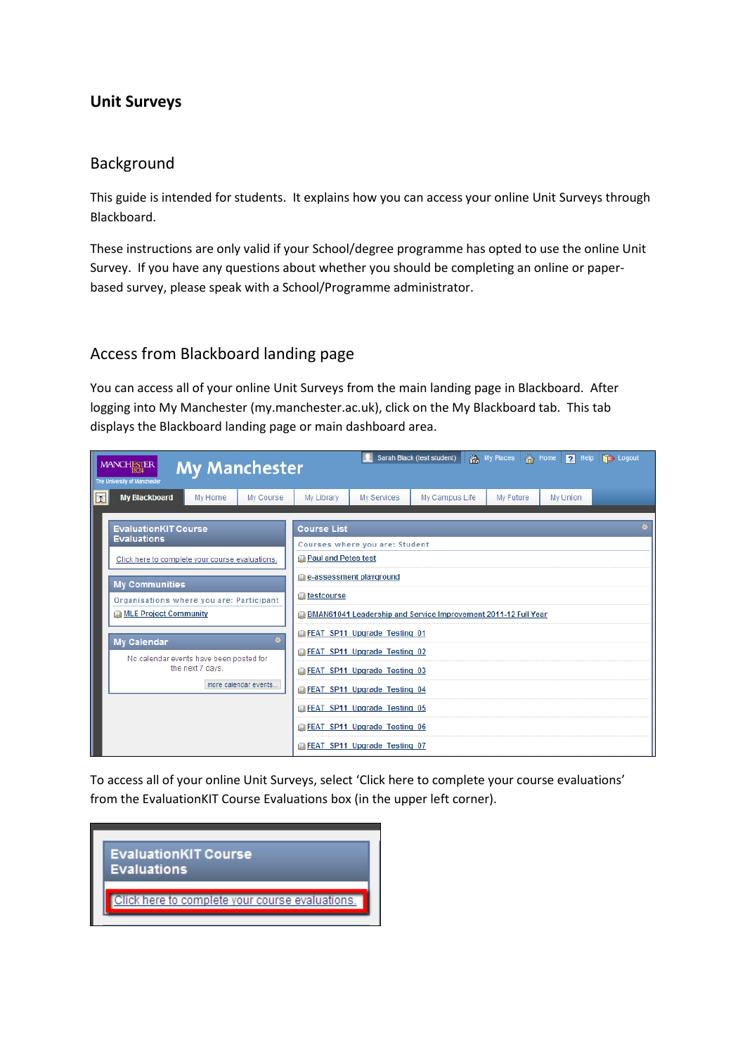## Unit Surveys

#### Background

This guide is intended for students. It explains how you can access your online Unit Surveys through Blackboard.

These instructions are only valid if your School/degree programme has opted to use the online Unit Survey. If you have any questions about whether you should be completing an online or paperbased survey, please speak with a School/Programme administrator.

### Access from Blackboard landing page

You can access all of your online Unit Surveys from the main landing page in Blackboard. After logging into My Manchester (my.manchester.ac.uk), click on the My Blackboard tab. This tab displays the Blackboard landing page or main dashboard area.

|   | Sarah Black (test student) <b>All My Places</b> A Home <b>2</b> Help CD Logout<br>MANCHESTER<br><b>My Manchester</b><br>The University of Manchester |                      |                                        |                                                                        |             |                                                                |           |          |  |  |  |
|---|------------------------------------------------------------------------------------------------------------------------------------------------------|----------------------|----------------------------------------|------------------------------------------------------------------------|-------------|----------------------------------------------------------------|-----------|----------|--|--|--|
| 囥 | <b>My Blackboard</b>                                                                                                                                 | My Home              | My Course                              | My Library                                                             | My Services | My Campus Life                                                 | My Future | My Union |  |  |  |
|   | <b>EvaluationKIT Course</b>                                                                                                                          |                      | <b>Course List</b>                     |                                                                        |             |                                                                |           |          |  |  |  |
|   | <b>Evaluations</b><br>Click here to complete your course evaluations.                                                                                |                      |                                        | Courses where you are: Student<br><b>Paul and Petes test</b>           |             |                                                                |           |          |  |  |  |
|   | <b>My Communities</b><br>Organisations where you are: Participant                                                                                    |                      |                                        | e-assessment playground<br><b>III</b> testcourse                       |             |                                                                |           |          |  |  |  |
|   | <b>ID MLE Project Community</b>                                                                                                                      |                      |                                        |                                                                        |             | BMAN61041 Leadership and Service Improvement 2011-12 Full Year |           |          |  |  |  |
|   | <b>My Calendar</b>                                                                                                                                   |                      | $\clubsuit$                            | <b>In FEAT SP11 Upgrade Testing 01</b>                                 |             |                                                                |           |          |  |  |  |
|   | No calendar events have been posted for                                                                                                              | the next 7 days.     |                                        | FEAT SP11 Upgrade Testing 02<br><b>In FEAT SP11 Upgrade Testing 03</b> |             |                                                                |           |          |  |  |  |
|   |                                                                                                                                                      | more calendar events | FEAT SP11 Upgrade Testing 04           |                                                                        |             |                                                                |           |          |  |  |  |
|   |                                                                                                                                                      |                      | FEAT SP11 Upgrade Testing 05           |                                                                        |             |                                                                |           |          |  |  |  |
|   |                                                                                                                                                      |                      | <b>In FEAT SP11 Upgrade Testing 06</b> |                                                                        |             |                                                                |           |          |  |  |  |
|   |                                                                                                                                                      |                      |                                        | FEAT SP11 Upgrade Testing 07                                           |             |                                                                |           |          |  |  |  |

To access all of your online Unit Surveys, select 'Click here to complete your course evaluations' from the EvaluationKIT Course Evaluations box (in the upper left corner).

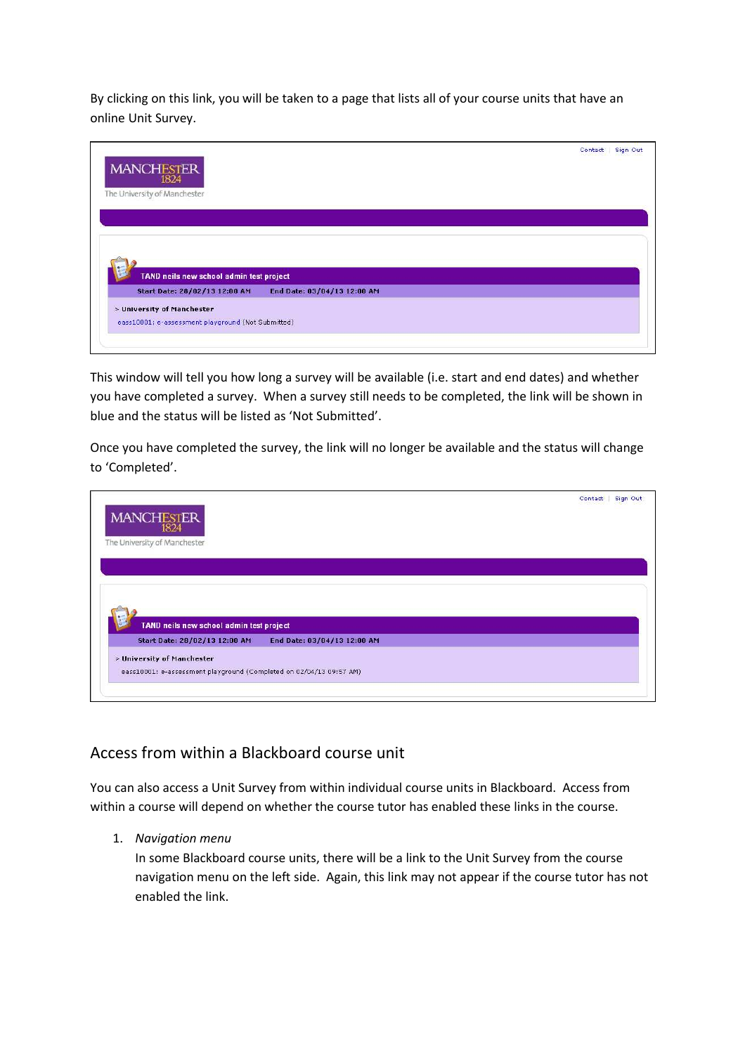By clicking on this link, you will be taken to a page that lists all of your course units that have an online Unit Survey.

| MANCHESTER                               |                             | Sign Out<br>Contact |
|------------------------------------------|-----------------------------|---------------------|
| The University of Manchester             |                             |                     |
|                                          |                             |                     |
|                                          |                             |                     |
|                                          |                             |                     |
|                                          |                             |                     |
|                                          |                             |                     |
| TAND neils new school admin test project |                             |                     |
| Start Date: 28/02/13 12:00 AM            | End Date: 03/04/13 12:00 AM |                     |
| > University of Manchester               |                             |                     |

This window will tell you how long a survey will be available (i.e. start and end dates) and whether you have completed a survey. When a survey still needs to be completed, the link will be shown in blue and the status will be listed as 'Not Submitted'.

Once you have completed the survey, the link will no longer be available and the status will change to 'Completed'.

| <b>MANCHESTER</b>                        |                             | Contact | Sign Out |
|------------------------------------------|-----------------------------|---------|----------|
| 1824<br>The University of Manchester     |                             |         |          |
|                                          |                             |         |          |
|                                          |                             |         |          |
|                                          |                             |         |          |
|                                          |                             |         |          |
|                                          |                             |         |          |
| TAND neils new school admin test project |                             |         |          |
| Start Date: 28/02/13 12:00 AM            | End Date: 03/04/13 12:00 AM |         |          |
| > University of Manchester               |                             |         |          |

# Access from within a Blackboard course unit

You can also access a Unit Survey from within individual course units in Blackboard. Access from within a course will depend on whether the course tutor has enabled these links in the course.

1. Navigation menu

In some Blackboard course units, there will be a link to the Unit Survey from the course navigation menu on the left side. Again, this link may not appear if the course tutor has not enabled the link.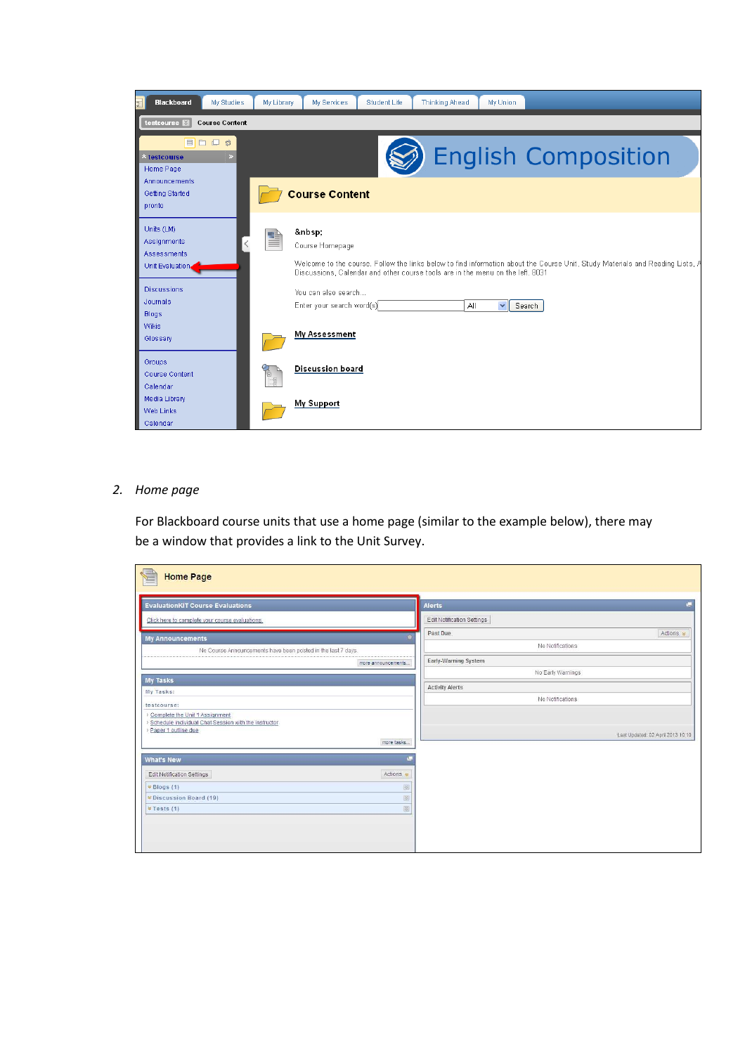

#### 2. Home page

For Blackboard course units that use a home page (similar to the example below), there may be a window that provides a link to the Unit Survey.

| <b>Home Page</b>                                                                                                                                                                                                                                                                                                                                                                    |                                   |
|-------------------------------------------------------------------------------------------------------------------------------------------------------------------------------------------------------------------------------------------------------------------------------------------------------------------------------------------------------------------------------------|-----------------------------------|
| <b>EvaluationKIT Course Evaluations</b>                                                                                                                                                                                                                                                                                                                                             | Alerts                            |
| Click here to complete your course evaluations.                                                                                                                                                                                                                                                                                                                                     | Edit Notification Settings        |
| <b>My Announcements</b>                                                                                                                                                                                                                                                                                                                                                             | Actions *<br>Past Due             |
| No Course Announcements have been posted in the last 7 days.                                                                                                                                                                                                                                                                                                                        | No Notifications                  |
| more announcements                                                                                                                                                                                                                                                                                                                                                                  | Early-Warning System              |
|                                                                                                                                                                                                                                                                                                                                                                                     | No Early Warnings                 |
| My Tasks<br>My Tasks:                                                                                                                                                                                                                                                                                                                                                               | <b>Activity Alerts</b>            |
| testcourse:                                                                                                                                                                                                                                                                                                                                                                         | No Notifications                  |
| > Complete the Unit 1 Assignment                                                                                                                                                                                                                                                                                                                                                    |                                   |
| Schedule individual Chat Session with the instructor                                                                                                                                                                                                                                                                                                                                |                                   |
| > Paper 1 outline due<br>more tasks                                                                                                                                                                                                                                                                                                                                                 | Last Updated: 02 April 2013 10:10 |
|                                                                                                                                                                                                                                                                                                                                                                                     |                                   |
| <b>What's New</b>                                                                                                                                                                                                                                                                                                                                                                   |                                   |
| Actions *<br>Edit Notification Settings                                                                                                                                                                                                                                                                                                                                             |                                   |
| $\qquad \qquad \text{ } \qquad \qquad \text{ }$<br>$\times$ Blogs (1)                                                                                                                                                                                                                                                                                                               |                                   |
| $\begin{picture}(20,20) \put(0,0){\line(1,0){0}} \put(15,0){\line(1,0){0}} \put(15,0){\line(1,0){0}} \put(15,0){\line(1,0){0}} \put(15,0){\line(1,0){0}} \put(15,0){\line(1,0){0}} \put(15,0){\line(1,0){0}} \put(15,0){\line(1,0){0}} \put(15,0){\line(1,0){0}} \put(15,0){\line(1,0){0}} \put(15,0){\line(1,0){0}} \put(15,0){\line(1,0){0}} \put(15,$<br>* Discussion Board (19) |                                   |
| $\begin{picture}(20,20) \put(0,0){\line(1,0){0}} \put(15,0){\line(1,0){0}} \put(15,0){\line(1,0){0}} \put(15,0){\line(1,0){0}} \put(15,0){\line(1,0){0}} \put(15,0){\line(1,0){0}} \put(15,0){\line(1,0){0}} \put(15,0){\line(1,0){0}} \put(15,0){\line(1,0){0}} \put(15,0){\line(1,0){0}} \put(15,0){\line(1,0){0}} \put(15,0){\line(1,0){0}} \put(15,$<br>* Tests (1)             |                                   |
|                                                                                                                                                                                                                                                                                                                                                                                     |                                   |
|                                                                                                                                                                                                                                                                                                                                                                                     |                                   |
|                                                                                                                                                                                                                                                                                                                                                                                     |                                   |